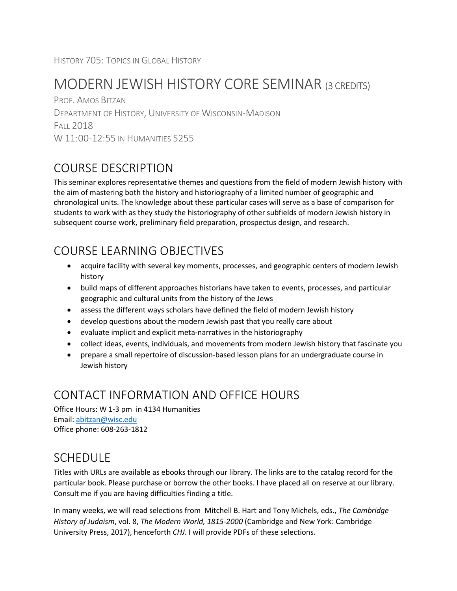# MODERN JEWISH HISTORY CORE SEMINAR (3 CREDITS)

PROF. AMOS BITZAN DEPARTMENT OF HISTORY, UNIVERSITY OF WISCONSIN-MADISON FALL 2018 W 11:00-12:55 IN HUMANITIES 5255

# COURSE DESCRIPTION

This seminar explores representative themes and questions from the field of modern Jewish history with the aim of mastering both the history and historiography of a limited number of geographic and chronological units. The knowledge about these particular cases will serve as a base of comparison for students to work with as they study the historiography of other subfields of modern Jewish history in subsequent course work, preliminary field preparation, prospectus design, and research.

# COURSE LEARNING OBJECTIVES

- acquire facility with several key moments, processes, and geographic centers of modern Jewish history
- build maps of different approaches historians have taken to events, processes, and particular geographic and cultural units from the history of the Jews
- assess the different ways scholars have defined the field of modern Jewish history
- develop questions about the modern Jewish past that you really care about
- evaluate implicit and explicit meta-narratives in the historiography
- collect ideas, events, individuals, and movements from modern Jewish history that fascinate you
- prepare a small repertoire of discussion-based lesson plans for an undergraduate course in Jewish history

## CONTACT INFORMATION AND OFFICE HOURS

Office Hours: W 1-3 pm in 4134 Humanities Email: [abitzan@wisc.edu](mailto:abitzan@wisc.edu) Office phone: 608-263-1812

### SCHEDULE

Titles with URLs are available as ebooks through our library. The links are to the catalog record for the particular book. Please purchase or borrow the other books. I have placed all on reserve at our library. Consult me if you are having difficulties finding a title.

In many weeks, we will read selections from Mitchell B. Hart and Tony Michels, eds., *The Cambridge History of Judaism*, vol. 8, *The Modern World, 1815-2000* (Cambridge and New York: Cambridge University Press, 2017), henceforth *CHJ*. I will provide PDFs of these selections.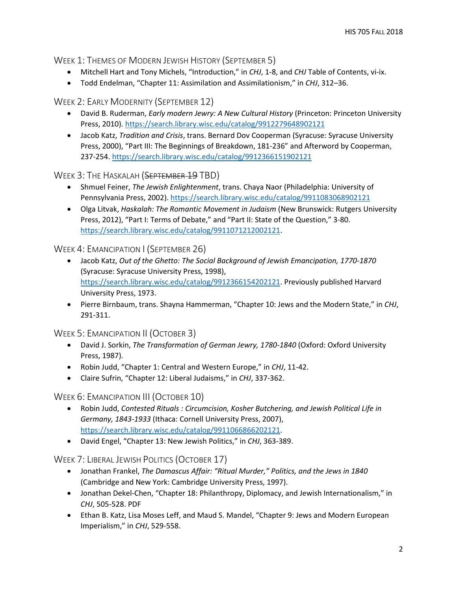WEEK 1: THEMES OF MODERN JEWISH HISTORY (SEPTEMBER 5)

- Mitchell Hart and Tony Michels, "Introduction," in *CHJ*, 1-8, and *CHJ* Table of Contents, vi-ix.
- Todd Endelman, "Chapter 11: Assimilation and Assimilationism," in *CHJ*, 312–36.

WEEK 2: EARLY MODERNITY (SEPTEMBER 12)

- David B. Ruderman, *Early modern Jewry: A New Cultural History* (Princeton: Princeton University Press, 2010)[. https://search.library.wisc.edu/catalog/9912279648902121](https://search.library.wisc.edu/catalog/9912279648902121)
- Jacob Katz, *Tradition and Crisis*, trans. Bernard Dov Cooperman (Syracuse: Syracuse University Press, 2000), "Part III: The Beginnings of Breakdown, 181-236" and Afterword by Cooperman, 237-254. <https://search.library.wisc.edu/catalog/9912366151902121>

WEEK 3: THE HASKALAH (SEPTEMBER 19 TBD)

- Shmuel Feiner, *The Jewish Enlightenment*, trans. Chaya Naor (Philadelphia: University of Pennsylvania Press, 2002)[. https://search.library.wisc.edu/catalog/9911083068902121](https://search.library.wisc.edu/catalog/9911083068902121)
- Olga Litvak, *Haskalah: The Romantic Movement in Judaism* (New Brunswick: Rutgers University Press, 2012), "Part I: Terms of Debate," and "Part II: State of the Question," 3-80. [https://search.library.wisc.edu/catalog/9911071212002121.](https://search.library.wisc.edu/catalog/9911071212002121)

WEEK 4: EMANCIPATION I (SEPTEMBER 26)

- Jacob Katz, *Out of the Ghetto: The Social Background of Jewish Emancipation, 1770-1870* (Syracuse: Syracuse University Press, 1998), [https://search.library.wisc.edu/catalog/9912366154202121.](https://search.library.wisc.edu/catalog/9912366154202121) Previously published Harvard University Press, 1973.
- Pierre Birnbaum, trans. Shayna Hammerman, "Chapter 10: Jews and the Modern State," in *CHJ*, 291-311.

WEEK 5: EMANCIPATION II (OCTOBER 3)

- David J. Sorkin, *The Transformation of German Jewry, 1780-1840* (Oxford: Oxford University Press, 1987).
- Robin Judd, "Chapter 1: Central and Western Europe," in *CHJ*, 11-42.
- Claire Sufrin, "Chapter 12: Liberal Judaisms," in *CHJ*, 337-362.

WEEK 6: EMANCIPATION III (OCTOBER 10)

- Robin Judd, *Contested Rituals : Circumcision, Kosher Butchering, and Jewish Political Life in Germany, 1843-1933* (Ithaca: Cornell University Press, 2007), [https://search.library.wisc.edu/catalog/9911066866202121.](https://search.library.wisc.edu/catalog/9911066866202121)
- David Engel, "Chapter 13: New Jewish Politics," in *CHJ*, 363-389.

WEEK 7: LIBERAL JEWISH POLITICS (OCTOBER 17)

- Jonathan Frankel, *The Damascus Affair: "Ritual Murder," Politics, and the Jews in 1840* (Cambridge and New York: Cambridge University Press, 1997).
- Jonathan Dekel-Chen, "Chapter 18: Philanthropy, Diplomacy, and Jewish Internationalism," in *CHJ*, 505-528. PDF
- Ethan B. Katz, Lisa Moses Leff, and Maud S. Mandel, "Chapter 9: Jews and Modern European Imperialism," in *CHJ*, 529-558.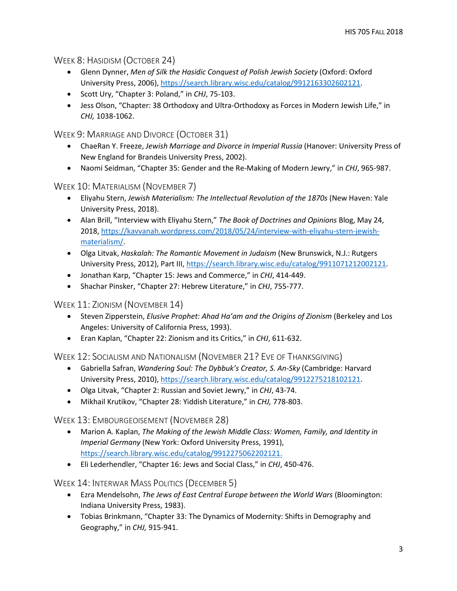WEEK 8: HASIDISM (OCTOBER 24)

- Glenn Dynner, *Men of Silk the Hasidic Conquest of Polish Jewish Society* (Oxford: Oxford University Press, 2006), [https://search.library.wisc.edu/catalog/9912163302602121.](https://search.library.wisc.edu/catalog/9912163302602121)
- Scott Ury, "Chapter 3: Poland," in *CHJ*, 75-103.
- Jess Olson, "Chapter: 38 Orthodoxy and Ultra-Orthodoxy as Forces in Modern Jewish Life," in *CHJ,* 1038-1062.

WEEK 9: MARRIAGE AND DIVORCE (OCTOBER 31)

- ChaeRan Y. Freeze, *Jewish Marriage and Divorce in Imperial Russia* (Hanover: University Press of New England for Brandeis University Press, 2002).
- Naomi Seidman, "Chapter 35: Gender and the Re-Making of Modern Jewry," in *CHJ*, 965-987.

WEEK 10: MATERIALISM (NOVEMBER 7)

- Eliyahu Stern, *Jewish Materialism: The Intellectual Revolution of the 1870s* (New Haven: Yale University Press, 2018).
- Alan Brill, "Interview with Eliyahu Stern," *The Book of Doctrines and Opinions* Blog, May 24, 2018[, https://kavvanah.wordpress.com/2018/05/24/interview-with-eliyahu-stern-jewish](https://kavvanah.wordpress.com/2018/05/24/interview-with-eliyahu-stern-jewish-materialism/)[materialism/.](https://kavvanah.wordpress.com/2018/05/24/interview-with-eliyahu-stern-jewish-materialism/)
- Olga Litvak, *Haskalah: The Romantic Movement in Judaism* (New Brunswick, N.J.: Rutgers University Press, 2012), Part III, [https://search.library.wisc.edu/catalog/9911071212002121.](https://search.library.wisc.edu/catalog/9911071212002121)
- Jonathan Karp, "Chapter 15: Jews and Commerce," in *CHJ*, 414-449.
- Shachar Pinsker, "Chapter 27: Hebrew Literature," in *CHJ*, 755-777.

WEEK 11: ZIONISM (NOVEMBER 14)

- Steven Zipperstein, *Elusive Prophet: Ahad Ha'am and the Origins of Zionism* (Berkeley and Los Angeles: University of California Press, 1993).
- Eran Kaplan, "Chapter 22: Zionism and its Critics," in *CHJ*, 611-632.

WEEK 12: SOCIALISM AND NATIONALISM (NOVEMBER 21? EVE OF THANKSGIVING)

- Gabriella Safran, *Wandering Soul: The Dybbuk's Creator, S. An-Sky* (Cambridge: Harvard University Press, 2010), [https://search.library.wisc.edu/catalog/9912275218102121.](https://search.library.wisc.edu/catalog/9912275218102121)
- Olga Litvak, "Chapter 2: Russian and Soviet Jewry," in *CHJ*, 43-74.
- Mikhail Krutikov, "Chapter 28: Yiddish Literature," in *CHJ,* 778-803.

WEEK 13: EMBOURGEOISEMENT (NOVEMBER 28)

- Marion A. Kaplan, *The Making of the Jewish Middle Class: Women, Family, and Identity in Imperial Germany* (New York: Oxford University Press, 1991), [https://search.library.wisc.edu/catalog/9912275062202121.](https://search.library.wisc.edu/catalog/9912275062202121)
- Eli Lederhendler, "Chapter 16: Jews and Social Class," in *CHJ*, 450-476.

WEEK 14: INTERWAR MASS POLITICS (DECEMBER 5)

- Ezra Mendelsohn, *The Jews of East Central Europe between the World Wars* (Bloomington: Indiana University Press, 1983).
- Tobias Brinkmann, "Chapter 33: The Dynamics of Modernity: Shifts in Demography and Geography," in *CHJ,* 915-941.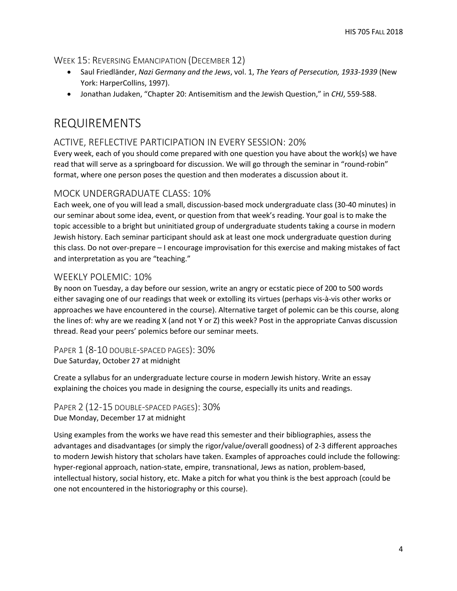#### WEEK 15: REVERSING EMANCIPATION (DECEMBER 12)

- Saul Friedländer, *Nazi Germany and the Jews*, vol. 1, *The Years of Persecution, 1933-1939* (New York: HarperCollins, 1997).
- Jonathan Judaken, "Chapter 20: Antisemitism and the Jewish Question," in *CHJ*, 559-588.

### REQUIREMENTS

### ACTIVE, REFLECTIVE PARTICIPATION IN EVERY SESSION: 20%

Every week, each of you should come prepared with one question you have about the work(s) we have read that will serve as a springboard for discussion. We will go through the seminar in "round-robin" format, where one person poses the question and then moderates a discussion about it.

#### MOCK UNDERGRADUATE CLASS: 10%

Each week, one of you will lead a small, discussion-based mock undergraduate class (30-40 minutes) in our seminar about some idea, event, or question from that week's reading. Your goal is to make the topic accessible to a bright but uninitiated group of undergraduate students taking a course in modern Jewish history. Each seminar participant should ask at least one mock undergraduate question during this class. Do not over-prepare – I encourage improvisation for this exercise and making mistakes of fact and interpretation as you are "teaching."

#### WEEKLY POLEMIC: 10%

By noon on Tuesday, a day before our session, write an angry or ecstatic piece of 200 to 500 words either savaging one of our readings that week or extolling its virtues (perhaps vis-à-vis other works or approaches we have encountered in the course). Alternative target of polemic can be this course, along the lines of: why are we reading X (and not Y or Z) this week? Post in the appropriate Canvas discussion thread. Read your peers' polemics before our seminar meets.

PAPER 1 (8-10 DOUBLE-SPACED PAGES): 30% Due Saturday, October 27 at midnight

Create a syllabus for an undergraduate lecture course in modern Jewish history. Write an essay explaining the choices you made in designing the course, especially its units and readings.

PAPER 2 (12-15 DOUBLE-SPACED PAGES): 30% Due Monday, December 17 at midnight

Using examples from the works we have read this semester and their bibliographies, assess the advantages and disadvantages (or simply the rigor/value/overall goodness) of 2-3 different approaches to modern Jewish history that scholars have taken. Examples of approaches could include the following: hyper-regional approach, nation-state, empire, transnational, Jews as nation, problem-based, intellectual history, social history, etc. Make a pitch for what you think is the best approach (could be one not encountered in the historiography or this course).